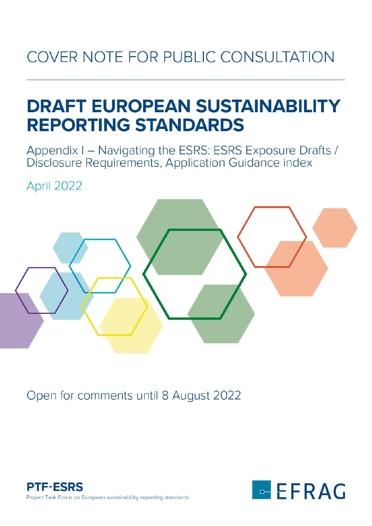# COVER NOTE FOR PUBLIC CONSULTATION

# **DRAFT EUROPEAN SUSTAINABILITY REPORTING STANDARDS**

Appendix I - Navigating the ESRS: ESRS Exposure Drafts / Disclosure Requirements, Application Guidance index

April 2022



Open for comments until 8 August 2022



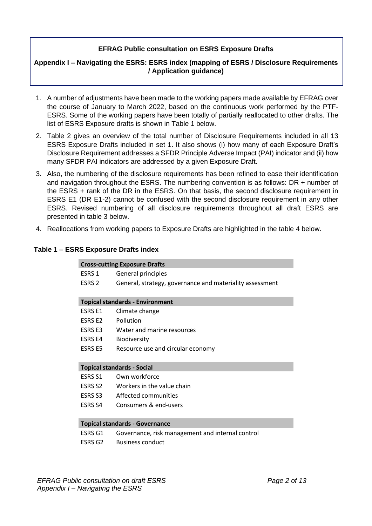# **EFRAG Public consultation on ESRS Exposure Drafts**

## **Appendix I – Navigating the ESRS: ESRS index (mapping of ESRS / Disclosure Requirements / Application guidance)**

- 1. A number of adjustments have been made to the working papers made available by EFRAG over the course of January to March 2022, based on the continuous work performed by the PTF-ESRS. Some of the working papers have been totally of partially reallocated to other drafts. The list of ESRS Exposure drafts is shown in Table 1 below.
- 2. Table 2 gives an overview of the total number of Disclosure Requirements included in all 13 ESRS Exposure Drafts included in set 1. It also shows (i) how many of each Exposure Draft's Disclosure Requirement addresses a SFDR Principle Adverse Impact (PAI) indicator and (ii) how many SFDR PAI indicators are addressed by a given Exposure Draft.
- 3. Also, the numbering of the disclosure requirements has been refined to ease their identification and navigation throughout the ESRS. The numbering convention is as follows: DR + number of the ESRS + rank of the DR in the ESRS. On that basis, the second disclosure requirement in ESRS E1 (DR E1-2) cannot be confused with the second disclosure requirement in any other ESRS. Revised numbering of all disclosure requirements throughout all draft ESRS are presented in table 3 below.
- 4. Reallocations from working papers to Exposure Drafts are highlighted in the table 4 below.

## **Table 1 – ESRS Exposure Drafts index**

## **Cross-cutting Exposure Drafts** ESRS 1 General principles

ESRS 2 General, strategy, governance and materiality assessment

#### **Topical standards - Environment**

- ESRS E1 Climate change
- ESRS E2 Pollution
- ESRS E3 Water and marine resources
- ESRS E4 Biodiversity
- ESRS E5 Resource use and circular economy

### **Topical standards - Social**

- ESRS S1 Own workforce
- ESRS S2 Workers in the value chain
- ESRS S3 Affected communities
- ESRS S4 Consumers & end-users

### **Topical standards - Governance**

- ESRS G1 Governance, risk management and internal control
- ESRS G2 Business conduct

*EFRAG Public consultation on draft ESRS Appendix I – Navigating the ESRS*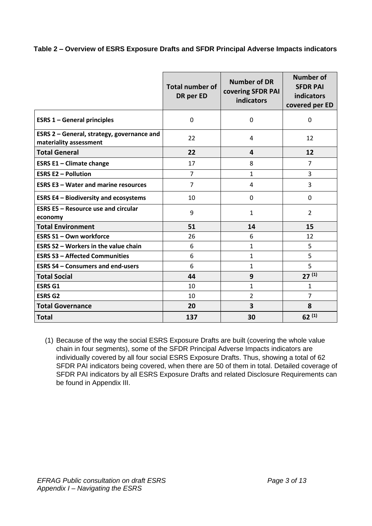**Table 2 – Overview of ESRS Exposure Drafts and SFDR Principal Adverse Impacts indicators**

|                                                                      | <b>Total number of</b><br>DR per ED | <b>Number of DR</b><br>covering SFDR PAI<br>indicators | <b>Number of</b><br><b>SFDR PAI</b><br>indicators<br>covered per ED |
|----------------------------------------------------------------------|-------------------------------------|--------------------------------------------------------|---------------------------------------------------------------------|
| <b>ESRS 1 - General principles</b>                                   | 0                                   | 0                                                      | 0                                                                   |
| ESRS 2 - General, strategy, governance and<br>materiality assessment | 22                                  | 4                                                      | 12                                                                  |
| <b>Total General</b>                                                 | 22                                  | 4                                                      | 12                                                                  |
| <b>ESRS E1 - Climate change</b>                                      | 17                                  | 8                                                      | $\overline{7}$                                                      |
| <b>ESRS E2 - Pollution</b>                                           | $\overline{7}$                      | $\mathbf{1}$                                           | 3                                                                   |
| <b>ESRS E3 - Water and marine resources</b>                          | $\overline{7}$                      | 4                                                      | 3                                                                   |
| <b>ESRS E4 - Biodiversity and ecosystems</b>                         | 10                                  | 0                                                      | 0                                                                   |
| <b>ESRS E5 - Resource use and circular</b><br>economy                | 9                                   | $\mathbf{1}$                                           | $\overline{2}$                                                      |
| <b>Total Environment</b>                                             | 51                                  | 14                                                     | 15                                                                  |
| <b>ESRS S1 - Own workforce</b>                                       | 26                                  | 6                                                      | 12                                                                  |
| <b>ESRS S2 - Workers in the value chain</b>                          | 6                                   | $\mathbf{1}$                                           | 5                                                                   |
| <b>ESRS S3 - Affected Communities</b>                                | 6                                   | $\mathbf{1}$                                           | 5                                                                   |
| <b>ESRS S4 - Consumers and end-users</b>                             | 6                                   | $\mathbf{1}$                                           | 5                                                                   |
| <b>Total Social</b>                                                  | 44                                  | 9                                                      | $27^{(1)}$                                                          |
| <b>ESRS G1</b>                                                       | 10                                  | $\mathbf{1}$                                           | $\mathbf{1}$                                                        |
| <b>ESRS G2</b>                                                       | 10                                  | $\overline{2}$                                         | $\overline{7}$                                                      |
| <b>Total Governance</b>                                              | 20                                  | 3                                                      | 8                                                                   |
| <b>Total</b>                                                         | 137                                 | 30                                                     | $62^{(1)}$                                                          |

(1) Because of the way the social ESRS Exposure Drafts are built (covering the whole value chain in four segments), some of the SFDR Principal Adverse Impacts indicators are individually covered by all four social ESRS Exposure Drafts. Thus, showing a total of 62 SFDR PAI indicators being covered, when there are 50 of them in total. Detailed coverage of SFDR PAI indicators by all ESRS Exposure Drafts and related Disclosure Requirements can be found in Appendix III.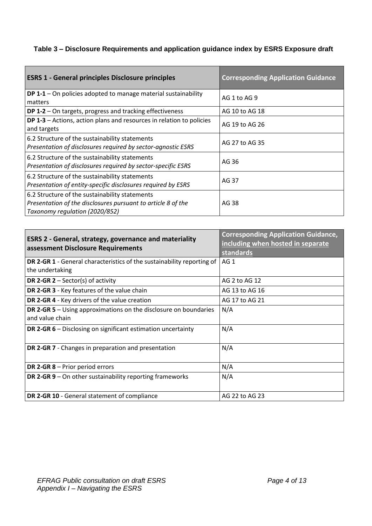# **Table 3 – Disclosure Requirements and application guidance index by ESRS Exposure draft**

| <b>ESRS 1 - General principles Disclosure principles</b>                                                                                         | <b>Corresponding Application Guidance</b> |
|--------------------------------------------------------------------------------------------------------------------------------------------------|-------------------------------------------|
| <b>DP 1-1</b> – On policies adopted to manage material sustainability<br>matters                                                                 | AG 1 to AG 9                              |
| <b>DP 1-2</b> – On targets, progress and tracking effectiveness                                                                                  | AG 10 to AG 18                            |
| DP 1-3 – Actions, action plans and resources in relation to policies<br>and targets                                                              | AG 19 to AG 26                            |
| 6.2 Structure of the sustainability statements<br>Presentation of disclosures required by sector-agnostic ESRS                                   | AG 27 to AG 35                            |
| 6.2 Structure of the sustainability statements<br>Presentation of disclosures required by sector-specific ESRS                                   | AG 36                                     |
| 6.2 Structure of the sustainability statements<br>Presentation of entity-specific disclosures required by ESRS                                   | AG 37                                     |
| 6.2 Structure of the sustainability statements<br>Presentation of the disclosures pursuant to article 8 of the<br>Taxonomy regulation (2020/852) | AG 38                                     |

| <b>ESRS 2 - General, strategy, governance and materiality</b><br>assessment Disclosure Requirements | <b>Corresponding Application Guidance,</b><br>including when hosted in separate<br>standards |
|-----------------------------------------------------------------------------------------------------|----------------------------------------------------------------------------------------------|
| <b>DR 2-GR 1</b> - General characteristics of the sustainability reporting of<br>the undertaking    | AG <sub>1</sub>                                                                              |
| <b>DR 2-GR 2 – Sector(s) of activity</b>                                                            | AG 2 to AG 12                                                                                |
| DR 2-GR 3 - Key features of the value chain                                                         | AG 13 to AG 16                                                                               |
| DR 2-GR 4 - Key drivers of the value creation                                                       | AG 17 to AG 21                                                                               |
| <b>DR 2-GR 5</b> – Using approximations on the disclosure on boundaries<br>and value chain          | N/A                                                                                          |
| <b>DR 2-GR 6</b> – Disclosing on significant estimation uncertainty                                 | N/A                                                                                          |
| DR 2-GR 7 - Changes in preparation and presentation                                                 | N/A                                                                                          |
| <b>DR 2-GR 8 - Prior period errors</b>                                                              | N/A                                                                                          |
| <b>DR 2-GR 9</b> – On other sustainability reporting frameworks                                     | N/A                                                                                          |
| DR 2-GR 10 - General statement of compliance                                                        | AG 22 to AG 23                                                                               |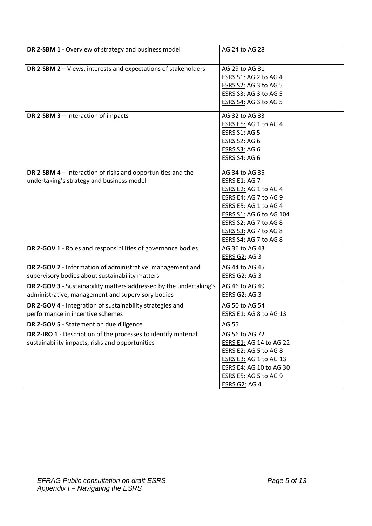| DR 2-SBM 1 - Overview of strategy and business model               | AG 24 to AG 28                |
|--------------------------------------------------------------------|-------------------------------|
| DR 2-SBM 2 - Views, interests and expectations of stakeholders     | AG 29 to AG 31                |
|                                                                    | ESRS S1: AG 2 to AG 4         |
|                                                                    | <b>ESRS S2: AG 3 to AG 5</b>  |
|                                                                    | ESRS S3: AG 3 to AG 5         |
|                                                                    | <b>ESRS S4: AG 3 to AG 5</b>  |
|                                                                    |                               |
| DR 2-SBM 3 - Interaction of impacts                                | AG 32 to AG 33                |
|                                                                    | ESRS E5: AG 1 to AG 4         |
|                                                                    | <b>ESRS S1: AG 5</b>          |
|                                                                    | <b>ESRS S2: AG 6</b>          |
|                                                                    | <b>ESRS S3: AG 6</b>          |
|                                                                    | <b>ESRS S4: AG 6</b>          |
|                                                                    |                               |
| DR 2-SBM 4 – Interaction of risks and opportunities and the        | AG 34 to AG 35                |
| undertaking's strategy and business model                          | <b>ESRS E1: AG 7</b>          |
|                                                                    | ESRS E2: AG 1 to AG 4         |
|                                                                    | <b>ESRS E4: AG 7 to AG 9</b>  |
|                                                                    | <b>ESRS E5: AG 1 to AG 4</b>  |
|                                                                    | ESRS S1: AG 6 to AG 104       |
|                                                                    | <b>ESRS S2: AG 7 to AG 8</b>  |
|                                                                    | ESRS S3: AG 7 to AG 8         |
|                                                                    | <b>ESRS S4: AG 7 to AG 8</b>  |
| DR 2-GOV 1 - Roles and responsibilities of governance bodies       | AG 36 to AG 43                |
|                                                                    | <b>ESRS G2: AG 3</b>          |
| DR 2-GOV 2 - Information of administrative, management and         | AG 44 to AG 45                |
| supervisory bodies about sustainability matters                    | <b>ESRS G2: AG 3</b>          |
| DR 2-GOV 3 - Sustainability matters addressed by the undertaking's | AG 46 to AG 49                |
| administrative, management and supervisory bodies                  | <b>ESRS G2: AG 3</b>          |
| DR 2-GOV 4 - Integration of sustainability strategies and          | AG 50 to AG 54                |
| performance in incentive schemes                                   | <b>ESRS E1: AG 8 to AG 13</b> |
| DR 2-GOV 5 - Statement on due diligence                            | AG 55                         |
| DR 2-IRO 1 - Description of the processes to identify material     | AG 56 to AG 72                |
| sustainability impacts, risks and opportunities                    | ESRS E1: AG 14 to AG 22       |
|                                                                    | <b>ESRS E2: AG 5 to AG 8</b>  |
|                                                                    | ESRS E3: AG 1 to AG 13        |
|                                                                    | ESRS E4: AG 10 to AG 30       |
|                                                                    | <b>ESRS E5: AG 5 to AG 9</b>  |
|                                                                    | <b>ESRS G2: AG 4</b>          |
|                                                                    |                               |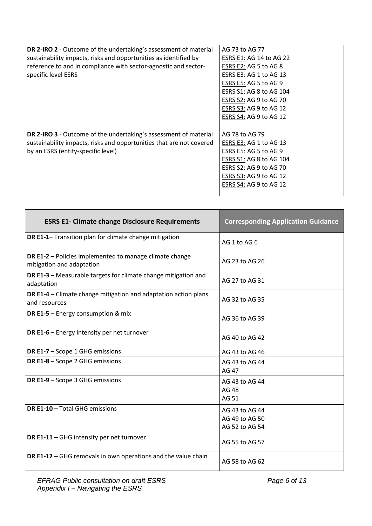| DR 2-IRO 2 - Outcome of the undertaking's assessment of material     | AG 73 to AG 77          |
|----------------------------------------------------------------------|-------------------------|
| sustainability impacts, risks and opportunities as identified by     | ESRS E1: AG 14 to AG 22 |
| reference to and in compliance with sector-agnostic and sector-      | ESRS E2: AG 5 to AG 8   |
| specific level ESRS                                                  | ESRS E3: AG 1 to AG 13  |
|                                                                      | ESRS E5: AG 5 to AG 9   |
|                                                                      | ESRS S1: AG 8 to AG 104 |
|                                                                      | ESRS S2: AG 9 to AG 70  |
|                                                                      | ESRS S3: AG 9 to AG 12  |
|                                                                      | ESRS S4: AG 9 to AG 12  |
|                                                                      |                         |
| DR 2-IRO 3 - Outcome of the undertaking's assessment of material     | AG 78 to AG 79          |
| sustainability impacts, risks and opportunities that are not covered | ESRS E3: AG 1 to AG 13  |
| by an ESRS (entity-specific level)                                   | ESRS E5: AG 5 to AG 9   |
|                                                                      | ESRS S1: AG 8 to AG 104 |
|                                                                      | ESRS S2: AG 9 to AG 70  |
|                                                                      | ESRS S3: AG 9 to AG 12  |
|                                                                      | ESRS S4: AG 9 to AG 12  |
|                                                                      |                         |

| <b>ESRS E1- Climate change Disclosure Requirements</b>                                      | <b>Corresponding Application Guidance</b>          |
|---------------------------------------------------------------------------------------------|----------------------------------------------------|
| <b>DR E1-1-</b> Transition plan for climate change mitigation                               | AG 1 to AG 6                                       |
| <b>DR E1-2</b> - Policies implemented to manage climate change<br>mitigation and adaptation | AG 23 to AG 26                                     |
| <b>DR E1-3</b> - Measurable targets for climate change mitigation and<br>adaptation         | AG 27 to AG 31                                     |
| <b>DR E1-4</b> – Climate change mitigation and adaptation action plans<br>and resources     | AG 32 to AG 35                                     |
| <b>DR E1-5</b> - Energy consumption & mix                                                   | AG 36 to AG 39                                     |
| DR E1-6 - Energy intensity per net turnover                                                 | AG 40 to AG 42                                     |
| DR E1-7 - Scope 1 GHG emissions                                                             | AG 43 to AG 46                                     |
| DR E1-8 - Scope 2 GHG emissions                                                             | AG 43 to AG 44<br>AG 47                            |
| DR E1-9 - Scope 3 GHG emissions                                                             | AG 43 to AG 44<br>AG 48<br>AG 51                   |
| <b>DR E1-10 - Total GHG emissions</b>                                                       | AG 43 to AG 44<br>AG 49 to AG 50<br>AG 52 to AG 54 |
| DR E1-11 - GHG intensity per net turnover                                                   | AG 55 to AG 57                                     |
| DR E1-12 - GHG removals in own operations and the value chain                               | AG 58 to AG 62                                     |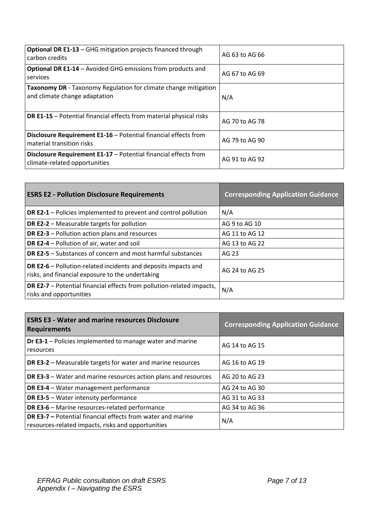| <b>Optional DR E1-13</b> - GHG mitigation projects financed through<br>carbon credits            | AG 63 to AG 66 |
|--------------------------------------------------------------------------------------------------|----------------|
| <b>Optional DR E1-14</b> – Avoided GHG emissions from products and<br>services                   | AG 67 to AG 69 |
| Taxonomy DR - Taxonomy Regulation for climate change mitigation<br>and climate change adaptation | N/A            |
| <b>DR E1-15</b> – Potential financial effects from material physical risks                       | AG 70 to AG 78 |
| Disclosure Requirement E1-16 - Potential financial effects from<br>material transition risks     | AG 79 to AG 90 |
| Disclosure Requirement E1-17 - Potential financial effects from<br>climate-related opportunities | AG 91 to AG 92 |

| <b>ESRS E2 - Pollution Disclosure Requirements</b>                                                                        | <b>Corresponding Application Guidance</b> |
|---------------------------------------------------------------------------------------------------------------------------|-------------------------------------------|
| <b>DR E2-1</b> – Policies implemented to prevent and control pollution                                                    | N/A                                       |
| <b>DR E2-2</b> – Measurable targets for pollution                                                                         | AG 9 to AG 10                             |
| <b>DR E2-3</b> – Pollution action plans and resources                                                                     | AG 11 to AG 12                            |
| <b>DR E2-4</b> – Pollution of air, water and soil                                                                         | AG 13 to AG 22                            |
| <b>DR E2-5</b> - Substances of concern and most harmful substances                                                        | AG 23                                     |
| <b>DR E2-6</b> – Pollution-related incidents and deposits impacts and<br>risks, and financial exposure to the undertaking | AG 24 to AG 25                            |
| <b>DR E2-7</b> - Potential financial effects from pollution-related impacts,<br>risks and opportunities                   | N/A                                       |

| <b>ESRS E3 - Water and marine resources Disclosure</b><br><b>Requirements</b>                                            | <b>Corresponding Application Guidance</b> |
|--------------------------------------------------------------------------------------------------------------------------|-------------------------------------------|
| Dr E3-1 - Policies implemented to manage water and marine<br>resources                                                   | AG 14 to AG 15                            |
| <b>DR E3-2</b> – Measurable targets for water and marine resources                                                       | AG 16 to AG 19                            |
| <b>DR E3-3</b> – Water and marine resources action plans and resources                                                   | AG 20 to AG 23                            |
| DR E3-4 - Water management performance                                                                                   | AG 24 to AG 30                            |
| <b>DR E3-5</b> - Water intensity performance                                                                             | AG 31 to AG 33                            |
| <b>DR E3-6</b> - Marine resources-related performance                                                                    | AG 34 to AG 36                            |
| <b>DR E3-7 - Potential financial effects from water and marine</b><br>resources-related impacts, risks and opportunities | N/A                                       |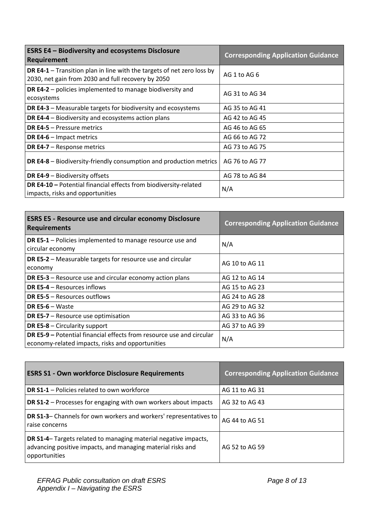| <b>ESRS E4 - Biodiversity and ecosystems Disclosure</b><br>Requirement                                                              | <b>Corresponding Application Guidance</b> |
|-------------------------------------------------------------------------------------------------------------------------------------|-------------------------------------------|
| <b>DR E4-1</b> – Transition plan in line with the targets of net zero loss by<br>2030, net gain from 2030 and full recovery by 2050 | AG 1 to AG 6                              |
| <b>DR E4-2</b> – policies implemented to manage biodiversity and<br>ecosystems                                                      | AG 31 to AG 34                            |
| <b>DR E4-3</b> – Measurable targets for biodiversity and ecosystems                                                                 | AG 35 to AG 41                            |
| <b>DR E4-4</b> - Biodiversity and ecosystems action plans                                                                           | AG 42 to AG 45                            |
| <b>DR E4-5 - Pressure metrics</b>                                                                                                   | AG 46 to AG 65                            |
| <b>DR E4-6 - Impact metrics</b>                                                                                                     | AG 66 to AG 72                            |
| <b>DR E4-7</b> – Response metrics                                                                                                   | AG 73 to AG 75                            |
| <b>DR E4-8</b> – Biodiversity-friendly consumption and production metrics                                                           | AG 76 to AG 77                            |
| <b>DR E4-9</b> - Biodiversity offsets                                                                                               | AG 78 to AG 84                            |
| DR E4-10 - Potential financial effects from biodiversity-related<br>impacts, risks and opportunities                                | N/A                                       |

| <b>ESRS E5 - Resource use and circular economy Disclosure</b><br><b>Requirements</b>                                            | <b>Corresponding Application Guidance</b> |
|---------------------------------------------------------------------------------------------------------------------------------|-------------------------------------------|
| <b>DR E5-1</b> – Policies implemented to manage resource use and<br>circular economy                                            | N/A                                       |
| <b>DR E5-2</b> – Measurable targets for resource use and circular<br>economy                                                    | AG 10 to AG 11                            |
| <b>DR E5-3</b> – Resource use and circular economy action plans                                                                 | AG 12 to AG 14                            |
| <b>DR E5-4</b> – Resources inflows                                                                                              | AG 15 to AG 23                            |
| <b>DR E5-5</b> – Resources outflows                                                                                             | AG 24 to AG 28                            |
| DR $E5-6$ – Waste                                                                                                               | AG 29 to AG 32                            |
| <b>DR E5-7</b> – Resource use optimisation                                                                                      | AG 33 to AG 36                            |
| <b>DR E5-8 - Circularity support</b>                                                                                            | AG 37 to AG 39                            |
| <b>DR E5-9 - Potential financial effects from resource use and circular</b><br>economy-related impacts, risks and opportunities | N/A                                       |

| <b>ESRS S1 - Own workforce Disclosure Requirements</b>                                                                                                 | <b>Corresponding Application Guidance</b> |
|--------------------------------------------------------------------------------------------------------------------------------------------------------|-------------------------------------------|
| <b>DR S1-1</b> – Policies related to own workforce                                                                                                     | AG 11 to AG 31                            |
| <b>DR S1-2</b> – Processes for engaging with own workers about impacts                                                                                 | AG 32 to AG 43                            |
| <b>DR S1-3-</b> Channels for own workers and workers' representatives to<br>raise concerns                                                             | AG 44 to AG 51                            |
| <b>DR S1-4-</b> Targets related to managing material negative impacts,<br>advancing positive impacts, and managing material risks and<br>opportunities | AG 52 to AG 59                            |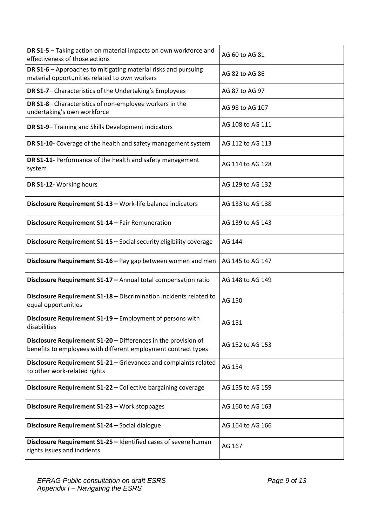| DR S1-5 - Taking action on material impacts on own workforce and<br>effectiveness of those actions                               | AG 60 to AG 81   |
|----------------------------------------------------------------------------------------------------------------------------------|------------------|
| DR S1-6 - Approaches to mitigating material risks and pursuing<br>material opportunities related to own workers                  | AG 82 to AG 86   |
| DR S1-7-Characteristics of the Undertaking's Employees                                                                           | AG 87 to AG 97   |
| DR S1-8-Characteristics of non-employee workers in the<br>undertaking's own workforce                                            | AG 98 to AG 107  |
| DR S1-9-Training and Skills Development indicators                                                                               | AG 108 to AG 111 |
| DR S1-10- Coverage of the health and safety management system                                                                    | AG 112 to AG 113 |
| DR S1-11- Performance of the health and safety management<br>system                                                              | AG 114 to AG 128 |
| DR S1-12- Working hours                                                                                                          | AG 129 to AG 132 |
| Disclosure Requirement S1-13 - Work-life balance indicators                                                                      | AG 133 to AG 138 |
| Disclosure Requirement S1-14 - Fair Remuneration                                                                                 | AG 139 to AG 143 |
| Disclosure Requirement S1-15 - Social security eligibility coverage                                                              | AG 144           |
| Disclosure Requirement S1-16 - Pay gap between women and men                                                                     | AG 145 to AG 147 |
| Disclosure Requirement S1-17 - Annual total compensation ratio                                                                   | AG 148 to AG 149 |
| Disclosure Requirement S1-18 - Discrimination incidents related to<br>equal opportunities                                        | AG 150           |
| Disclosure Requirement S1-19 - Employment of persons with<br>disabilities                                                        | AG 151           |
| Disclosure Requirement S1-20 - Differences in the provision of<br>benefits to employees with different employment contract types | AG 152 to AG 153 |
| Disclosure Requirement S1-21 - Grievances and complaints related<br>to other work-related rights                                 | AG 154           |
| Disclosure Requirement S1-22 - Collective bargaining coverage                                                                    | AG 155 to AG 159 |
| Disclosure Requirement S1-23 - Work stoppages                                                                                    | AG 160 to AG 163 |
| Disclosure Requirement S1-24 - Social dialogue                                                                                   | AG 164 to AG 166 |
| Disclosure Requirement S1-25 - Identified cases of severe human<br>rights issues and incidents                                   | AG 167           |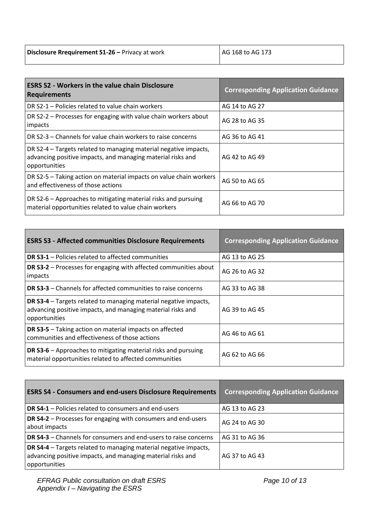| Disclosure Rrequirement S1-26 - Privacy at work | AG 168 to AG 173 |
|-------------------------------------------------|------------------|
|                                                 |                  |

| <b>ESRS S2 - Workers in the value chain Disclosure</b><br><b>Requirements</b>                                                                    | <b>Corresponding Application Guidance</b> |
|--------------------------------------------------------------------------------------------------------------------------------------------------|-------------------------------------------|
| DR S2-1 – Policies related to value chain workers                                                                                                | AG 14 to AG 27                            |
| DR S2-2 – Processes for engaging with value chain workers about<br>impacts                                                                       | AG 28 to AG 35                            |
| DR S2-3 – Channels for value chain workers to raise concerns                                                                                     | AG 36 to AG 41                            |
| DR S2-4 – Targets related to managing material negative impacts,<br>advancing positive impacts, and managing material risks and<br>opportunities | AG 42 to AG 49                            |
| DR S2-5 – Taking action on material impacts on value chain workers<br>and effectiveness of those actions                                         | AG 50 to AG 65                            |
| DR S2-6 – Approaches to mitigating material risks and pursuing<br>material opportunities related to value chain workers                          | AG 66 to AG 70                            |

| <b>ESRS S3 - Affected communities Disclosure Requirements</b>                                                                                    | <b>Corresponding Application Guidance</b> |
|--------------------------------------------------------------------------------------------------------------------------------------------------|-------------------------------------------|
| <b>DR S3-1</b> – Policies related to affected communities                                                                                        | AG 13 to AG 25                            |
| <b>DR S3-2</b> – Processes for engaging with affected communities about<br>impacts                                                               | AG 26 to AG 32                            |
| <b>DR S3-3</b> – Channels for affected communities to raise concerns                                                                             | AG 33 to AG 38                            |
| DR S3-4 - Targets related to managing material negative impacts,<br>advancing positive impacts, and managing material risks and<br>opportunities | AG 39 to AG 45                            |
| <b>DR S3-5</b> – Taking action on material impacts on affected<br>communities and effectiveness of those actions                                 | AG 46 to AG 61                            |
| <b>DR S3-6</b> – Approaches to mitigating material risks and pursuing<br>material opportunities related to affected communities                  | AG 62 to AG 66                            |

| <b>ESRS S4 - Consumers and end-users Disclosure Requirements</b>                                                                                        | <b>Corresponding Application Guidance</b> |
|---------------------------------------------------------------------------------------------------------------------------------------------------------|-------------------------------------------|
| <b>DR S4-1</b> – Policies related to consumers and end-users                                                                                            | AG 13 to AG 23                            |
| DR S4-2 - Processes for engaging with consumers and end-users<br>about impacts                                                                          | AG 24 to AG 30                            |
| <b>DR S4-3</b> – Channels for consumers and end-users to raise concerns                                                                                 | AG 31 to AG 36                            |
| <b>DR S4-4</b> – Targets related to managing material negative impacts,<br>advancing positive impacts, and managing material risks and<br>opportunities | AG 37 to AG 43                            |

man and

۰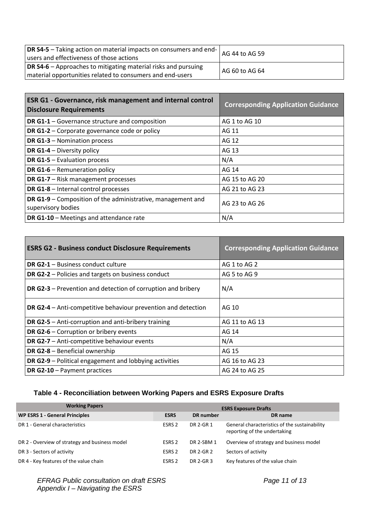| <b>DR S4-5</b> – Taking action on material impacts on consumers and end- $\vert$ AG 44 to AG 59<br>users and effectiveness of those actions |                |
|---------------------------------------------------------------------------------------------------------------------------------------------|----------------|
| <b>DR S4-6</b> – Approaches to mitigating material risks and pursuing                                                                       | AG 60 to AG 64 |
| material opportunities related to consumers and end-users                                                                                   |                |

| <b>ESR G1 - Governance, risk management and internal control</b><br><b>Disclosure Requirements</b> | <b>Corresponding Application Guidance</b> |
|----------------------------------------------------------------------------------------------------|-------------------------------------------|
| <b>DR G1-1</b> - Governance structure and composition                                              | AG 1 to AG 10                             |
| DR G1-2 – Corporate governance code or policy                                                      | AG 11                                     |
| <b>DR G1-3</b> - Nomination process                                                                | AG 12                                     |
| DR G1-4 - Diversity policy                                                                         | AG 13                                     |
| <b>DR G1-5</b> - Evaluation process                                                                | N/A                                       |
| <b>DR G1-6 - Remuneration policy</b>                                                               | AG 14                                     |
| DR G1-7 - Risk management processes                                                                | AG 15 to AG 20                            |
| DR G1-8 - Internal control processes                                                               | AG 21 to AG 23                            |
| <b>DR G1-9</b> – Composition of the administrative, management and<br>supervisory bodies           | AG 23 to AG 26                            |
| DR G1-10 - Meetings and attendance rate                                                            | N/A                                       |

| <b>ESRS G2 - Business conduct Disclosure Requirements</b>            | <b>Corresponding Application Guidance</b> |
|----------------------------------------------------------------------|-------------------------------------------|
| <b>DR G2-1 - Business conduct culture</b>                            | AG 1 to AG 2                              |
| <b>DR G2-2</b> – Policies and targets on business conduct            | AG 5 to AG 9                              |
| <b>DR G2-3</b> – Prevention and detection of corruption and bribery  | N/A                                       |
| <b>DR G2-4</b> – Anti-competitive behaviour prevention and detection | AG 10                                     |
| <b>DR G2-5</b> – Anti-corruption and anti-bribery training           | AG 11 to AG 13                            |
| DR G2-6 - Corruption or bribery events                               | AG 14                                     |
| DR G2-7 - Anti-competitive behaviour events                          | N/A                                       |
| DR G2-8 - Beneficial ownership                                       | AG 15                                     |
| DR G2-9 - Political engagement and lobbying activities               | AG 16 to AG 23                            |
| DR G2-10 - Payment practices                                         | AG 24 to AG 25                            |

# **Table 4 - Reconciliation between Working Papers and ESRS Exposure Drafts**

| <b>Working Papers</b>                          |                   |            | <b>ESRS Exposure Drafts</b>                                                   |
|------------------------------------------------|-------------------|------------|-------------------------------------------------------------------------------|
| <b>WP ESRS 1 - General Principles</b>          | <b>ESRS</b>       | DR number  | DR name                                                                       |
| DR 1 - General characteristics                 | ESRS 2            | DR 2-GR 1  | General characteristics of the sustainability<br>reporting of the undertaking |
| DR 2 - Overview of strategy and business model | ESRS 2            | DR 2-SBM 1 | Overview of strategy and business model                                       |
| DR 3 - Sectors of activity                     | ESRS 2            | DR 2-GR 2  | Sectors of activity                                                           |
| DR 4 - Key features of the value chain         | ESRS <sub>2</sub> | DR 2-GR 3  | Key features of the value chain                                               |

*EFRAG Public consultation on draft ESRS Appendix I – Navigating the ESRS*

*Page 11 of 13*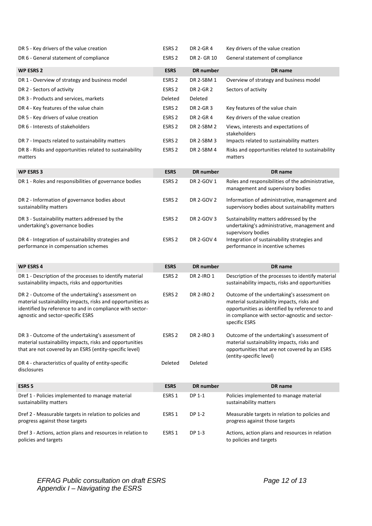| DR 5 - Key drivers of the value creation                                                                                                                                                                           | ESRS <sub>2</sub> | DR 2-GR 4         | Key drivers of the value creation                                                                                                                                                                              |
|--------------------------------------------------------------------------------------------------------------------------------------------------------------------------------------------------------------------|-------------------|-------------------|----------------------------------------------------------------------------------------------------------------------------------------------------------------------------------------------------------------|
| DR 6 - General statement of compliance                                                                                                                                                                             | ESRS <sub>2</sub> | DR 2- GR 10       | General statement of compliance                                                                                                                                                                                |
| <b>WP ESRS 2</b>                                                                                                                                                                                                   | <b>ESRS</b>       | DR number         | DR name                                                                                                                                                                                                        |
| DR 1 - Overview of strategy and business model                                                                                                                                                                     | ESRS <sub>2</sub> | DR 2-SBM 1        | Overview of strategy and business model                                                                                                                                                                        |
| DR 2 - Sectors of activity                                                                                                                                                                                         | ESRS <sub>2</sub> | DR 2-GR 2         | Sectors of activity                                                                                                                                                                                            |
| DR 3 - Products and services, markets                                                                                                                                                                              | Deleted           | Deleted           |                                                                                                                                                                                                                |
| DR 4 - Key features of the value chain                                                                                                                                                                             | ESRS 2            | <b>DR 2-GR 3</b>  | Key features of the value chain                                                                                                                                                                                |
| DR 5 - Key drivers of value creation                                                                                                                                                                               | ESRS <sub>2</sub> | <b>DR 2-GR 4</b>  | Key drivers of the value creation                                                                                                                                                                              |
| DR 6 - Interests of stakeholders                                                                                                                                                                                   | ESRS <sub>2</sub> | DR 2-SBM 2        | Views, interests and expectations of<br>stakeholders                                                                                                                                                           |
| DR 7 - Impacts related to sustainability matters                                                                                                                                                                   | ESRS 2            | DR 2-SBM 3        | Impacts related to sustainability matters                                                                                                                                                                      |
| DR 8 - Risks and opportunities related to sustainability<br>matters                                                                                                                                                | ESRS 2            | DR 2-SBM 4        | Risks and opportunities related to sustainability<br>matters                                                                                                                                                   |
| <b>WP ESRS 3</b>                                                                                                                                                                                                   | <b>ESRS</b>       | DR number         | DR name                                                                                                                                                                                                        |
| DR 1 - Roles and responsibilities of governance bodies                                                                                                                                                             | ESRS <sub>2</sub> | DR 2-GOV 1        | Roles and responsibilities of the administrative,<br>management and supervisory bodies                                                                                                                         |
| DR 2 - Information of governance bodies about<br>sustainability matters                                                                                                                                            | ESRS <sub>2</sub> | DR 2-GOV 2        | Information of administrative, management and<br>supervisory bodies about sustainability matters                                                                                                               |
| DR 3 - Sustainability matters addressed by the<br>undertaking's governance bodies                                                                                                                                  | ESRS <sub>2</sub> | DR 2-GOV 3        | Sustainability matters addressed by the<br>undertaking's administrative, management and<br>supervisory bodies                                                                                                  |
| DR 4 - Integration of sustainability strategies and                                                                                                                                                                | ESRS <sub>2</sub> | DR 2-GOV 4        | Integration of sustainability strategies and                                                                                                                                                                   |
| performance in compensation schemes                                                                                                                                                                                |                   |                   | performance in incentive schemes                                                                                                                                                                               |
| <b>WP ESRS 4</b>                                                                                                                                                                                                   | <b>ESRS</b>       | DR number         | DR name                                                                                                                                                                                                        |
| DR 1 - Description of the processes to identify material<br>sustainability impacts, risks and opportunities                                                                                                        | ESRS <sub>2</sub> | <b>DR 2-IRO 1</b> | Description of the processes to identify material<br>sustainability impacts, risks and opportunities                                                                                                           |
| DR 2 - Outcome of the undertaking's assessment on<br>material sustainability impacts, risks and opportunities as<br>identified by reference to and in compliance with sector-<br>agnostic and sector-specific ESRS | ESRS <sub>2</sub> | <b>DR 2-IRO 2</b> | Outcome of the undertaking's assessment on<br>material sustainability impacts, risks and<br>opportunities as identified by reference to and<br>in compliance with sector-agnostic and sector-<br>specific ESRS |
| DR 3 - Outcome of the undertaking's assessment of<br>material sustainability impacts, risks and opportunities<br>that are not covered by an ESRS (entity-specific level)                                           | ESRS <sub>2</sub> | <b>DR 2-IRO 3</b> | Outcome of the undertaking's assessment of<br>material sustainability impacts, risks and<br>opportunities that are not covered by an ESRS                                                                      |
| DR 4 - characteristics of quality of entity-specific<br>disclosures                                                                                                                                                | Deleted           | Deleted           | (entity-specific level)                                                                                                                                                                                        |
| <b>ESRS 5</b>                                                                                                                                                                                                      | <b>ESRS</b>       | DR number         | DR name                                                                                                                                                                                                        |
| Dref 1 - Policies implemented to manage material<br>sustainability matters                                                                                                                                         | ESRS 1            | DP 1-1            | Policies implemented to manage material<br>sustainability matters                                                                                                                                              |
| Dref 2 - Measurable targets in relation to policies and<br>progress against those targets                                                                                                                          | ESRS 1            | DP 1-2            | Measurable targets in relation to policies and<br>progress against those targets                                                                                                                               |